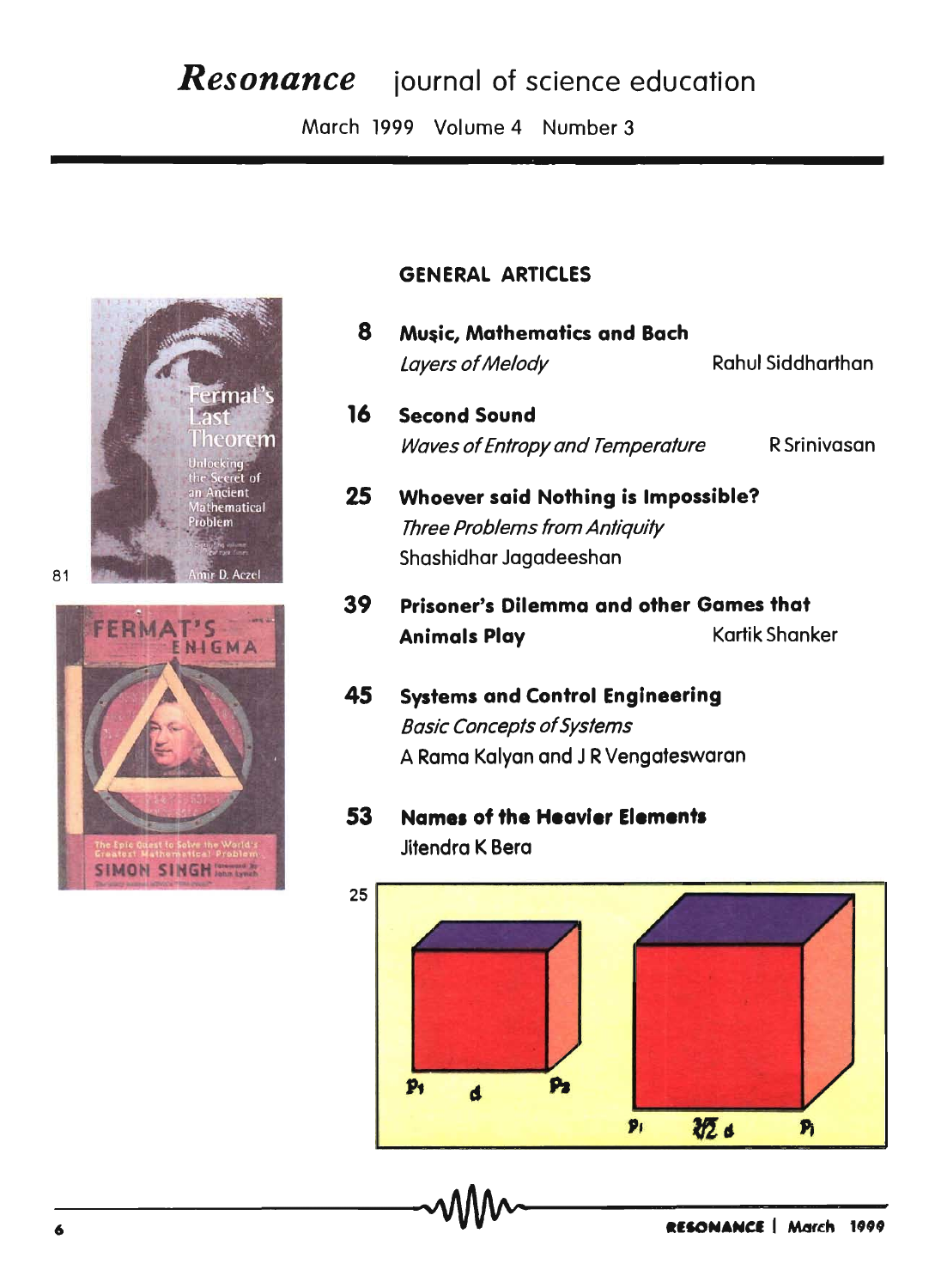# *Resonance* journal of science education

March 1999 Volume 4 Number 3



## GENERAL ARTICLES

8 Music, Mathematics and Bach Layers of Melody Rahul Siddharthan 16 Second Sound Waves of Entropy and Temperature R Srinivasan 25 Whoever said Nothing is Impossible? Three Problems from Antiquity Shashidhar Jagadeeshan 39 Prisoner's Dilemma and other Games that Animals Play Manuel Martik Shanker 45 Systems and Control Engineering Basic Concepts of Systems A Rama Kalyan and J R Vengateswaran 53 Names of the Heavier Elements Jitendra K Bera 25



81